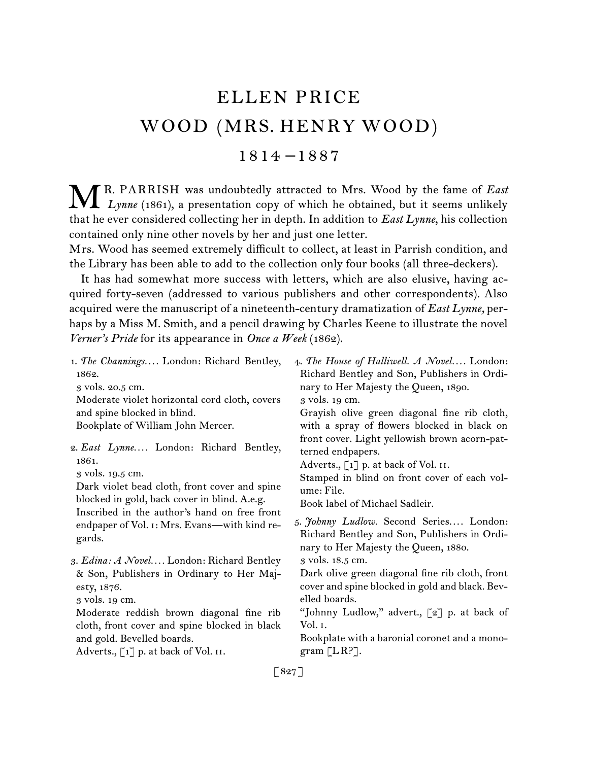## ELLEN PRICE WOOD (MRS. HENRY WOOD)

1814 –1887

R. PARRISH was undoubtedly attracted to Mrs. Wood by the fame of *East* **M** R. PARRISH was undoubtedly attracted to Mrs. Wood by the fame of *East* Lynne (1861), a presentation copy of which he obtained, but it seems unlikely that he ever considered collecting her in depth. In addition to *East Lynne*, his collection contained only nine other novels by her and just one letter.

Mrs. Wood has seemed extremely difficult to collect, at least in Parrish condition, and the Library has been able to add to the collection only four books (all three-deckers).

It has had somewhat more success with letters, which are also elusive, having acquired forty-seven (addressed to various publishers and other correspondents). Also acquired were the manuscript of a nineteenth-century dramatization of *East Lynne,* perhaps by a Miss M. Smith, and a pencil drawing by Charles Keene to illustrate the novel *Verner's Pride* for its appearance in *Once a Week* (1862).

[ 827 ]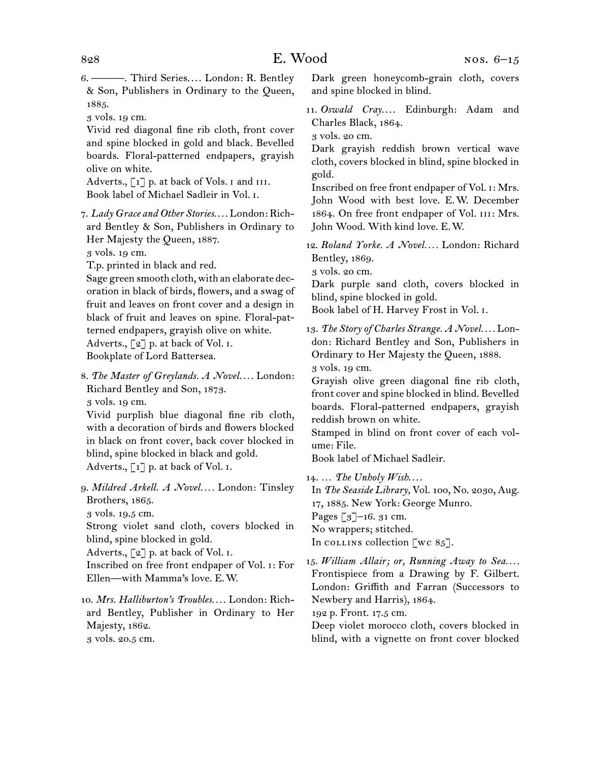6.  ———. Third Series. . . . London: R. Bentley & Son, Publishers in Ordinary to the Queen, 1885.

3 vols. 19 cm.

Vivid red diagonal fine rib cloth, front cover and spine blocked in gold and black. Bevelled boards. Floral-patterned endpapers, grayish olive on white.

Adverts., [1] p. at back of Vols. I and III. Book label of Michael Sadleir in Vol. i.

7.  *Lady Grace and Other Stories*. . . . London: Richard Bentley & Son, Publishers in Ordinary to Her Majesty the Queen, 1887.

3 vols. 19 cm.

T.p. printed in black and red.

Sage green smooth cloth, with an elaborate decoration in black of birds, flowers, and a swag of fruit and leaves on front cover and a design in black of fruit and leaves on spine. Floral-patterned endpapers, grayish olive on white. Adverts., [2] p. at back of Vol. I. Bookplate of Lord Battersea.

8.  *The Master of Greylands. A Novel. . . .* London: Richard Bentley and Son, 1873. 3 vols. 19 cm.

Vivid purplish blue diagonal fine rib cloth, with a decoration of birds and flowers blocked in black on front cover, back cover blocked in blind, spine blocked in black and gold. Adverts.,  $\lceil 1 \rceil$  p. at back of Vol. I.

9.  *Mildred Arkell. A Novel. . . .* London: Tinsley Brothers, 1865. 3 vols. 19.5 cm.

Strong violet sand cloth, covers blocked in blind, spine blocked in gold.

Adverts.,  $\lceil 2 \rceil$  p. at back of Vol. I.

Inscribed on free front endpaper of Vol. i: For Ellen—with Mamma's love. E. W.

10.  *Mrs. Halliburton's Troubles. . . .* London: Richard Bentley, Publisher in Ordinary to Her Majesty, 1862.

3 vols. 20.5 cm.

Dark green honeycomb-grain cloth, covers and spine blocked in blind.

11.  *Oswald Cray*. . . . Edinburgh: Adam and Charles Black, 1864.

3 vols. 20 cm.

Dark grayish reddish brown vertical wave cloth, covers blocked in blind, spine blocked in gold.

Inscribed on free front endpaper of Vol. i: Mrs. John Wood with best love. E. W. December 1864. On free front endpaper of Vol. iii: Mrs. John Wood. With kind love. E. W.

12.  *Roland Yorke. A Novel. . . .* London: Richard Bentley, 1869.

3 vols. 20 cm.

Dark purple sand cloth, covers blocked in blind, spine blocked in gold.

Book label of H. Harvey Frost in Vol. i.

13.  *The Story of Charles Strange. A Novel. . . .* London: Richard Bentley and Son, Publishers in Ordinary to Her Majesty the Queen, 1888. 3 vols. 19 cm.

Grayish olive green diagonal fine rib cloth, front cover and spine blocked in blind. Bevelled boards. Floral-patterned endpapers, grayish reddish brown on white.

Stamped in blind on front cover of each volume: File.

Book label of Michael Sadleir.

14.  … *The Unholy Wish*. . . .

In *The Seaside Library,* Vol. 100, No. 2030, Aug. 17, 1885. New York: George Munro.

Pages  $\lceil 3 \rceil$ –16. 31 cm.

No wrappers; stitched.

In collection [wc  $85$ ].

15.  *William Allair; or, Running Away to Sea. . . .* Frontispiece from a Drawing by F. Gilbert. London: Griffith and Farran (Successors to Newbery and Harris), 1864.

192 p. Front. 17.5 cm.

Deep violet morocco cloth, covers blocked in blind, with a vignette on front cover blocked